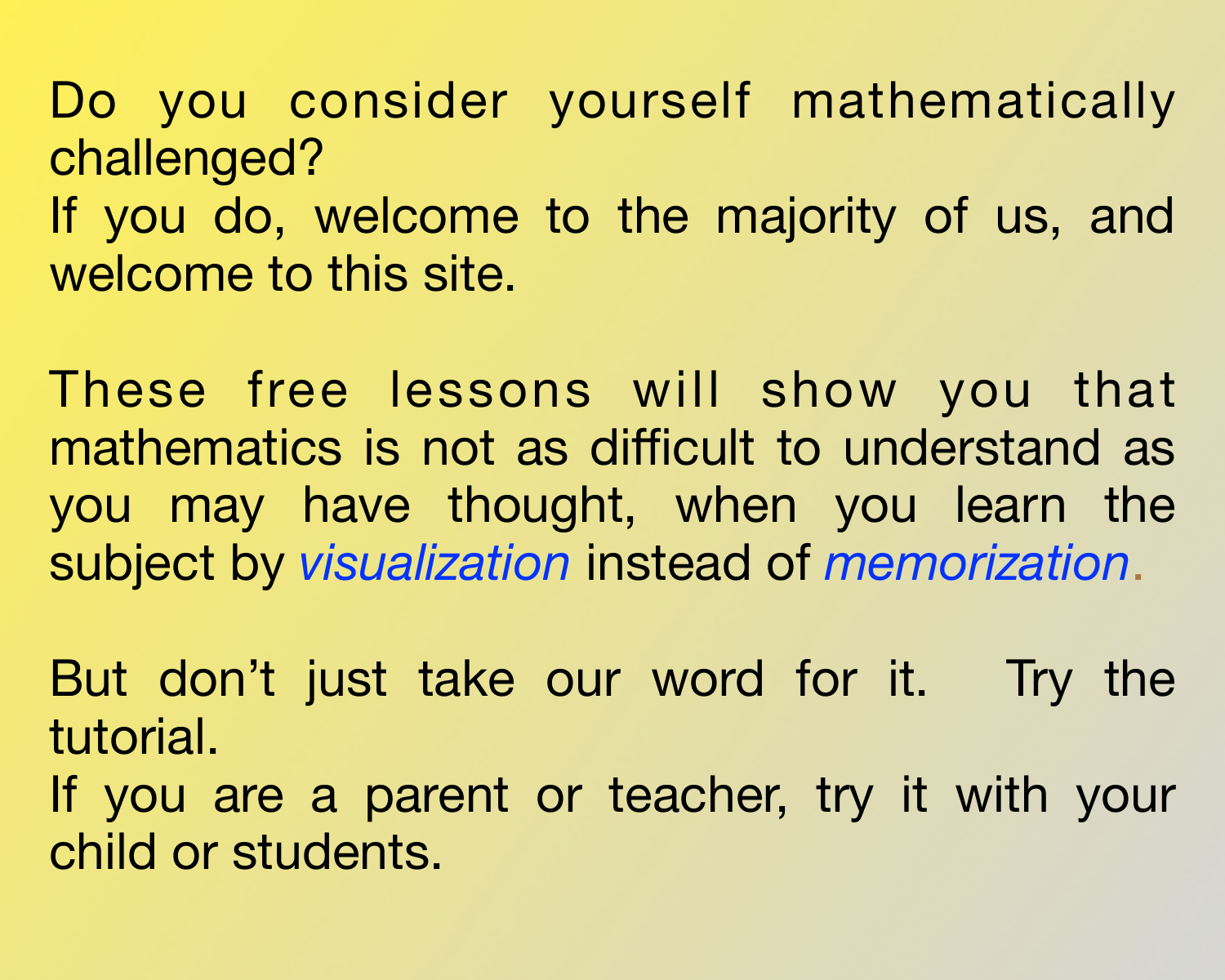Do you consider yourself mathematically challenged?

If you do, welcome to the majority of us, and welcome to this site.

These free lessons will show you that mathematics is not as difficult to understand as you may have thought, when you learn the subject by *visualization* instead of *memorization*.

But don't just take our word for it. Try the tutorial. If you are a parent or teacher, try it with your

child or students.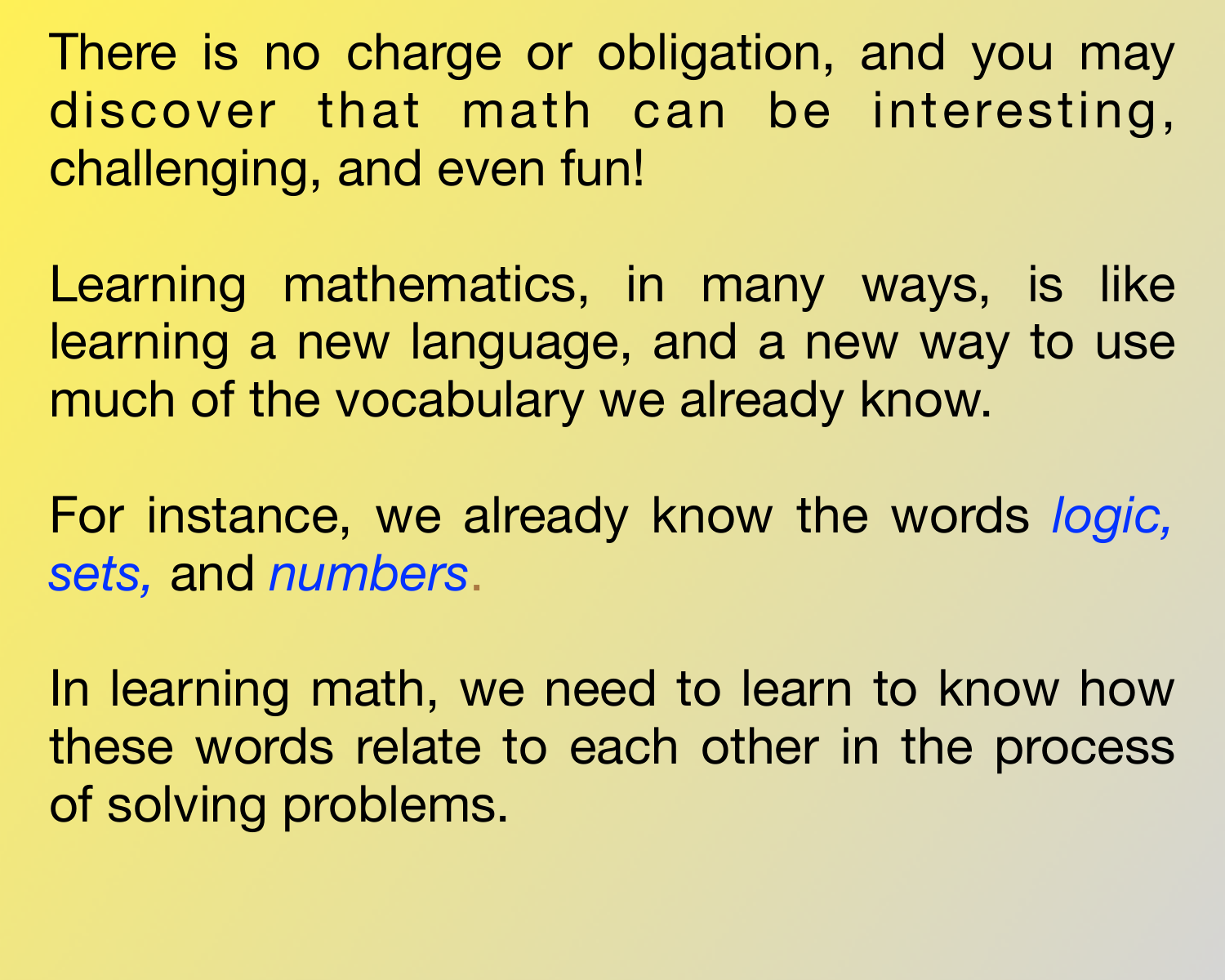There is no charge or obligation, and you may discover that math can be interesting, challenging, and even fun!

Learning mathematics, in many ways, is like learning a new language, and a new way to use much of the vocabulary we already know.

For instance, we already know the words *logic, sets,* and *numbers*.

In learning math, we need to learn to know how these words relate to each other in the process of solving problems.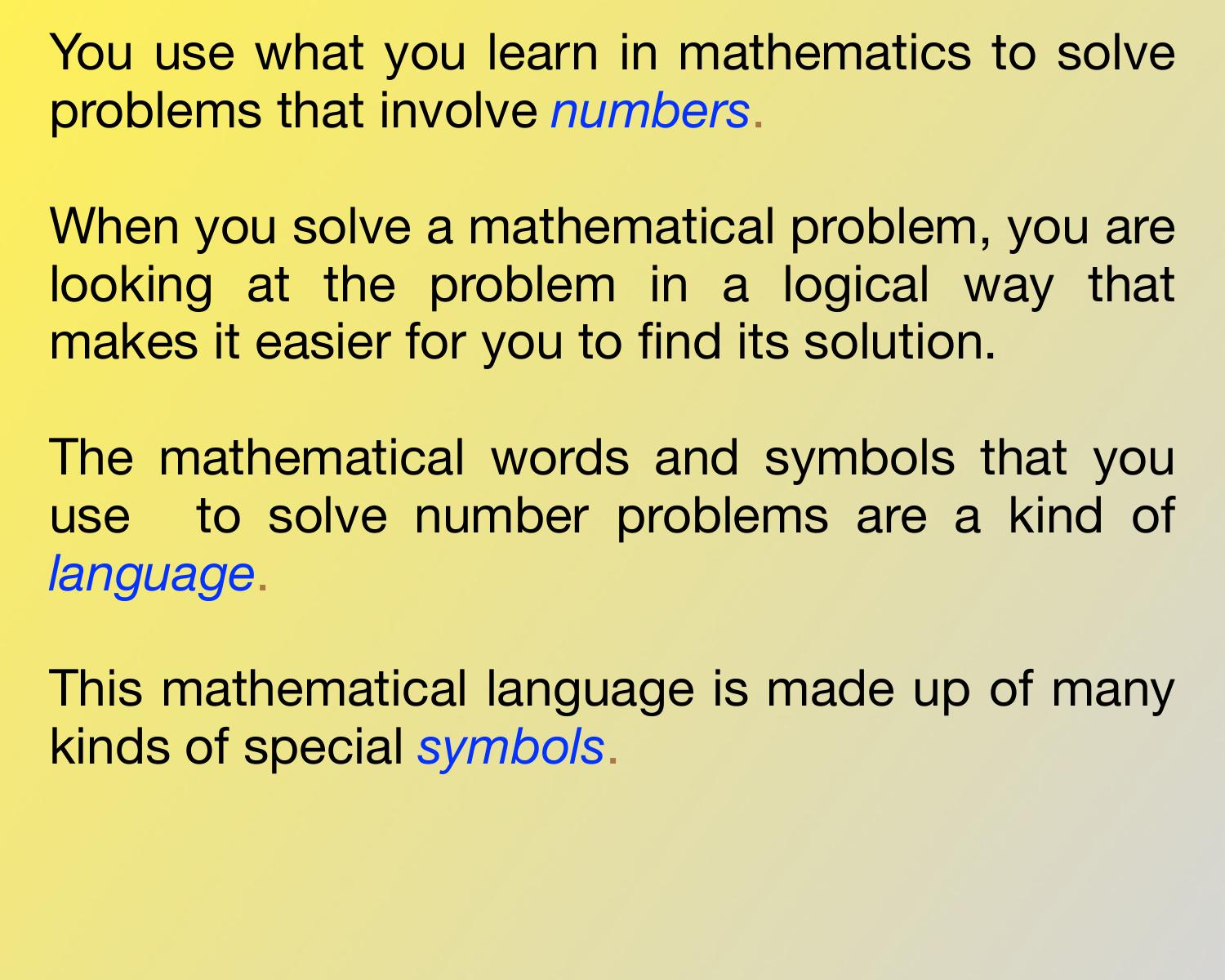You use what you learn in mathematics to solve problems that involve *numbers*.

When you solve a mathematical problem, you are looking at the problem in a logical way that makes it easier for you to find its solution.

The mathematical words and symbols that you use to solve number problems are a kind of *language*.

This mathematical language is made up of many kinds of special *symbols*.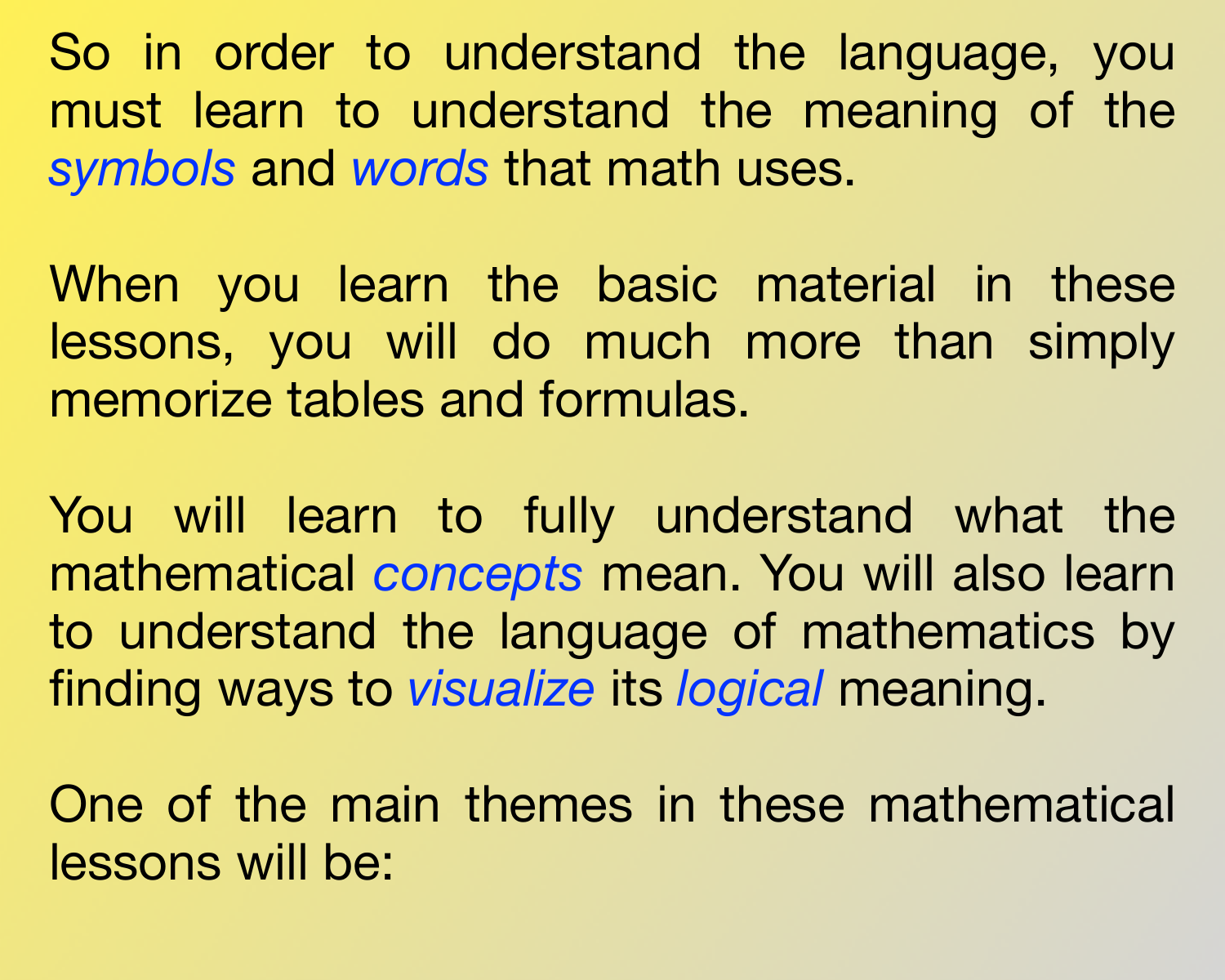So in order to understand the language, you must learn to understand the meaning of the *symbols* and *words* that math uses.

When you learn the basic material in these lessons, you will do much more than simply memorize tables and formulas.

You will learn to fully understand what the mathematical *concepts* mean. You will also learn to understand the language of mathematics by finding ways to *visualize* its *logical* meaning.

One of the main themes in these mathematical lessons will be: